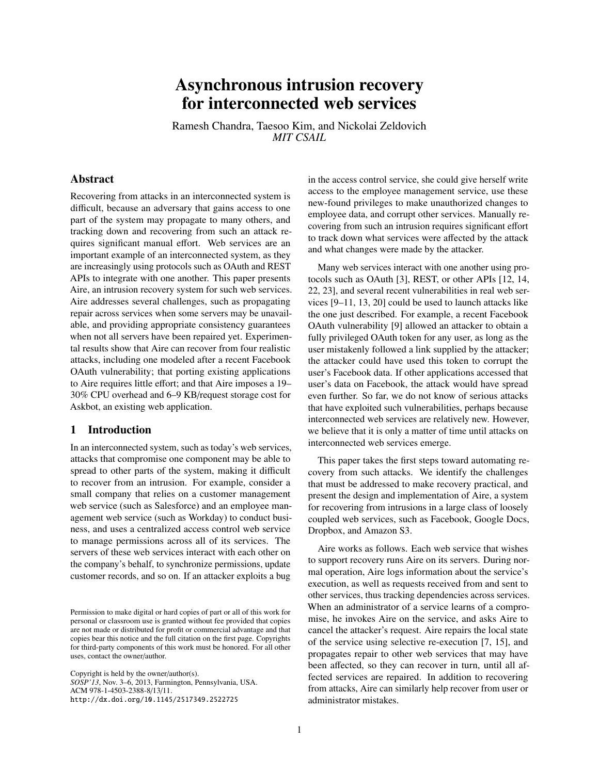# Asynchronous intrusion recovery for interconnected web services

Ramesh Chandra, Taesoo Kim, and Nickolai Zeldovich *MIT CSAIL*

# Abstract

Recovering from attacks in an interconnected system is difficult, because an adversary that gains access to one part of the system may propagate to many others, and tracking down and recovering from such an attack requires significant manual effort. Web services are an important example of an interconnected system, as they are increasingly using protocols such as OAuth and REST APIs to integrate with one another. This paper presents Aire, an intrusion recovery system for such web services. Aire addresses several challenges, such as propagating repair across services when some servers may be unavailable, and providing appropriate consistency guarantees when not all servers have been repaired yet. Experimental results show that Aire can recover from four realistic attacks, including one modeled after a recent Facebook OAuth vulnerability; that porting existing applications to Aire requires little effort; and that Aire imposes a 19– 30% CPU overhead and 6–9 KB/request storage cost for Askbot, an existing web application.

# <span id="page-0-0"></span>1 Introduction

In an interconnected system, such as today's web services, attacks that compromise one component may be able to spread to other parts of the system, making it difficult to recover from an intrusion. For example, consider a small company that relies on a customer management web service (such as Salesforce) and an employee management web service (such as Workday) to conduct business, and uses a centralized access control web service to manage permissions across all of its services. The servers of these web services interact with each other on the company's behalf, to synchronize permissions, update customer records, and so on. If an attacker exploits a bug

Copyright is held by the owner/author(s). *SOSP'13*, Nov. 3–6, 2013, Farmington, Pennsylvania, USA. ACM 978-1-4503-2388-8/13/11. <http://dx.doi.org/10.1145/2517349.2522725>

in the access control service, she could give herself write access to the employee management service, use these new-found privileges to make unauthorized changes to employee data, and corrupt other services. Manually recovering from such an intrusion requires significant effort to track down what services were affected by the attack and what changes were made by the attacker.

Many web services interact with one another using protocols such as OAuth [\[3\]](#page-14-0), REST, or other APIs [\[12,](#page-14-1) [14,](#page-14-2) [22,](#page-14-3) [23\]](#page-14-4), and several recent vulnerabilities in real web services [\[9](#page-14-5)[–11,](#page-14-6) [13,](#page-14-7) [20\]](#page-14-8) could be used to launch attacks like the one just described. For example, a recent Facebook OAuth vulnerability [\[9\]](#page-14-5) allowed an attacker to obtain a fully privileged OAuth token for any user, as long as the user mistakenly followed a link supplied by the attacker; the attacker could have used this token to corrupt the user's Facebook data. If other applications accessed that user's data on Facebook, the attack would have spread even further. So far, we do not know of serious attacks that have exploited such vulnerabilities, perhaps because interconnected web services are relatively new. However, we believe that it is only a matter of time until attacks on interconnected web services emerge.

This paper takes the first steps toward automating recovery from such attacks. We identify the challenges that must be addressed to make recovery practical, and present the design and implementation of Aire, a system for recovering from intrusions in a large class of loosely coupled web services, such as Facebook, Google Docs, Dropbox, and Amazon S3.

Aire works as follows. Each web service that wishes to support recovery runs Aire on its servers. During normal operation, Aire logs information about the service's execution, as well as requests received from and sent to other services, thus tracking dependencies across services. When an administrator of a service learns of a compromise, he invokes Aire on the service, and asks Aire to cancel the attacker's request. Aire repairs the local state of the service using selective re-execution [\[7,](#page-14-9) [15\]](#page-14-10), and propagates repair to other web services that may have been affected, so they can recover in turn, until all affected services are repaired. In addition to recovering from attacks, Aire can similarly help recover from user or administrator mistakes.

Permission to make digital or hard copies of part or all of this work for personal or classroom use is granted without fee provided that copies are not made or distributed for profit or commercial advantage and that copies bear this notice and the full citation on the first page. Copyrights for third-party components of this work must be honored. For all other uses, contact the owner/author.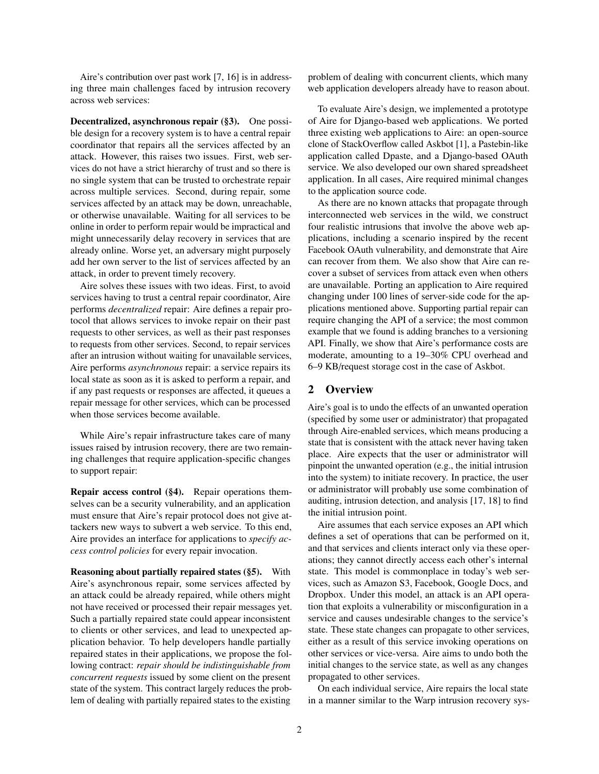Aire's contribution over past work [\[7,](#page-14-9) [16\]](#page-14-11) is in addressing three main challenges faced by intrusion recovery across web services:

Decentralized, asynchronous repair ([§3\)](#page-3-0). One possible design for a recovery system is to have a central repair coordinator that repairs all the services affected by an attack. However, this raises two issues. First, web services do not have a strict hierarchy of trust and so there is no single system that can be trusted to orchestrate repair across multiple services. Second, during repair, some services affected by an attack may be down, unreachable, or otherwise unavailable. Waiting for all services to be online in order to perform repair would be impractical and might unnecessarily delay recovery in services that are already online. Worse yet, an adversary might purposely add her own server to the list of services affected by an attack, in order to prevent timely recovery.

Aire solves these issues with two ideas. First, to avoid services having to trust a central repair coordinator, Aire performs *decentralized* repair: Aire defines a repair protocol that allows services to invoke repair on their past requests to other services, as well as their past responses to requests from other services. Second, to repair services after an intrusion without waiting for unavailable services, Aire performs *asynchronous* repair: a service repairs its local state as soon as it is asked to perform a repair, and if any past requests or responses are affected, it queues a repair message for other services, which can be processed when those services become available.

While Aire's repair infrastructure takes care of many issues raised by intrusion recovery, there are two remaining challenges that require application-specific changes to support repair:

Repair access control ([§4\)](#page-5-0). Repair operations themselves can be a security vulnerability, and an application must ensure that Aire's repair protocol does not give attackers new ways to subvert a web service. To this end, Aire provides an interface for applications to *specify access control policies* for every repair invocation.

Reasoning about partially repaired states ([§5\)](#page-6-0). With Aire's asynchronous repair, some services affected by an attack could be already repaired, while others might not have received or processed their repair messages yet. Such a partially repaired state could appear inconsistent to clients or other services, and lead to unexpected application behavior. To help developers handle partially repaired states in their applications, we propose the following contract: *repair should be indistinguishable from concurrent requests* issued by some client on the present state of the system. This contract largely reduces the problem of dealing with partially repaired states to the existing

problem of dealing with concurrent clients, which many web application developers already have to reason about.

To evaluate Aire's design, we implemented a prototype of Aire for Django-based web applications. We ported three existing web applications to Aire: an open-source clone of StackOverflow called Askbot [\[1\]](#page-14-12), a Pastebin-like application called Dpaste, and a Django-based OAuth service. We also developed our own shared spreadsheet application. In all cases, Aire required minimal changes to the application source code.

As there are no known attacks that propagate through interconnected web services in the wild, we construct four realistic intrusions that involve the above web applications, including a scenario inspired by the recent Facebook OAuth vulnerability, and demonstrate that Aire can recover from them. We also show that Aire can recover a subset of services from attack even when others are unavailable. Porting an application to Aire required changing under 100 lines of server-side code for the applications mentioned above. Supporting partial repair can require changing the API of a service; the most common example that we found is adding branches to a versioning API. Finally, we show that Aire's performance costs are moderate, amounting to a 19–30% CPU overhead and 6–9 KB/request storage cost in the case of Askbot.

# 2 Overview

Aire's goal is to undo the effects of an unwanted operation (specified by some user or administrator) that propagated through Aire-enabled services, which means producing a state that is consistent with the attack never having taken place. Aire expects that the user or administrator will pinpoint the unwanted operation (e.g., the initial intrusion into the system) to initiate recovery. In practice, the user or administrator will probably use some combination of auditing, intrusion detection, and analysis [\[17,](#page-14-13) [18\]](#page-14-14) to find the initial intrusion point.

Aire assumes that each service exposes an API which defines a set of operations that can be performed on it, and that services and clients interact only via these operations; they cannot directly access each other's internal state. This model is commonplace in today's web services, such as Amazon S3, Facebook, Google Docs, and Dropbox. Under this model, an attack is an API operation that exploits a vulnerability or misconfiguration in a service and causes undesirable changes to the service's state. These state changes can propagate to other services, either as a result of this service invoking operations on other services or vice-versa. Aire aims to undo both the initial changes to the service state, as well as any changes propagated to other services.

On each individual service, Aire repairs the local state in a manner similar to the Warp intrusion recovery sys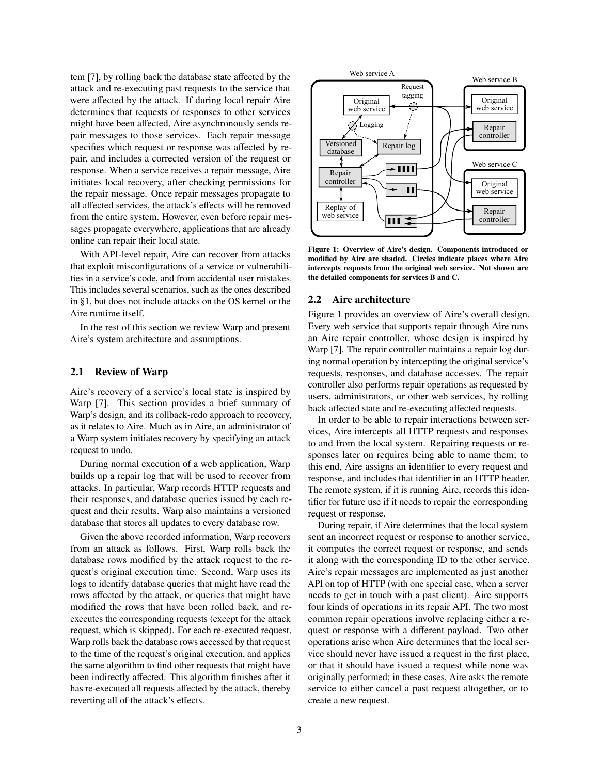tem [\[7\]](#page-14-9), by rolling back the database state affected by the attack and re-executing past requests to the service that were affected by the attack. If during local repair Aire determines that requests or responses to other services might have been affected, Aire asynchronously sends repair messages to those services. Each repair message specifies which request or response was affected by repair, and includes a corrected version of the request or response. When a service receives a repair message, Aire initiates local recovery, after checking permissions for the repair message. Once repair messages propagate to all affected services, the attack's effects will be removed from the entire system. However, even before repair messages propagate everywhere, applications that are already online can repair their local state.

With API-level repair, Aire can recover from attacks that exploit misconfigurations of a service or vulnerabilities in a service's code, and from accidental user mistakes. This includes several scenarios, such as the ones described in [§1,](#page-0-0) but does not include attacks on the OS kernel or the Aire runtime itself.

In the rest of this section we review Warp and present Aire's system architecture and assumptions.

## 2.1 Review of Warp

Aire's recovery of a service's local state is inspired by Warp [\[7\]](#page-14-9). This section provides a brief summary of Warp's design, and its rollback-redo approach to recovery, as it relates to Aire. Much as in Aire, an administrator of a Warp system initiates recovery by specifying an attack request to undo.

During normal execution of a web application, Warp builds up a repair log that will be used to recover from attacks. In particular, Warp records HTTP requests and their responses, and database queries issued by each request and their results. Warp also maintains a versioned database that stores all updates to every database row.

Given the above recorded information, Warp recovers from an attack as follows. First, Warp rolls back the database rows modified by the attack request to the request's original execution time. Second, Warp uses its logs to identify database queries that might have read the rows affected by the attack, or queries that might have modified the rows that have been rolled back, and reexecutes the corresponding requests (except for the attack request, which is skipped). For each re-executed request, Warp rolls back the database rows accessed by that request to the time of the request's original execution, and applies the same algorithm to find other requests that might have been indirectly affected. This algorithm finishes after it has re-executed all requests affected by the attack, thereby reverting all of the attack's effects.



<span id="page-2-0"></span>Figure 1: Overview of Aire's design. Components introduced or modified by Aire are shaded. Circles indicate places where Aire intercepts requests from the original web service. Not shown are the detailed components for services B and C.

## 2.2 Aire architecture

Figure [1](#page-2-0) provides an overview of Aire's overall design. Every web service that supports repair through Aire runs an Aire repair controller, whose design is inspired by Warp [\[7\]](#page-14-9). The repair controller maintains a repair log during normal operation by intercepting the original service's requests, responses, and database accesses. The repair controller also performs repair operations as requested by users, administrators, or other web services, by rolling back affected state and re-executing affected requests.

In order to be able to repair interactions between services, Aire intercepts all HTTP requests and responses to and from the local system. Repairing requests or responses later on requires being able to name them; to this end, Aire assigns an identifier to every request and response, and includes that identifier in an HTTP header. The remote system, if it is running Aire, records this identifier for future use if it needs to repair the corresponding request or response.

During repair, if Aire determines that the local system sent an incorrect request or response to another service, it computes the correct request or response, and sends it along with the corresponding ID to the other service. Aire's repair messages are implemented as just another API on top of HTTP (with one special case, when a server needs to get in touch with a past client). Aire supports four kinds of operations in its repair API. The two most common repair operations involve replacing either a request or response with a different payload. Two other operations arise when Aire determines that the local service should never have issued a request in the first place, or that it should have issued a request while none was originally performed; in these cases, Aire asks the remote service to either cancel a past request altogether, or to create a new request.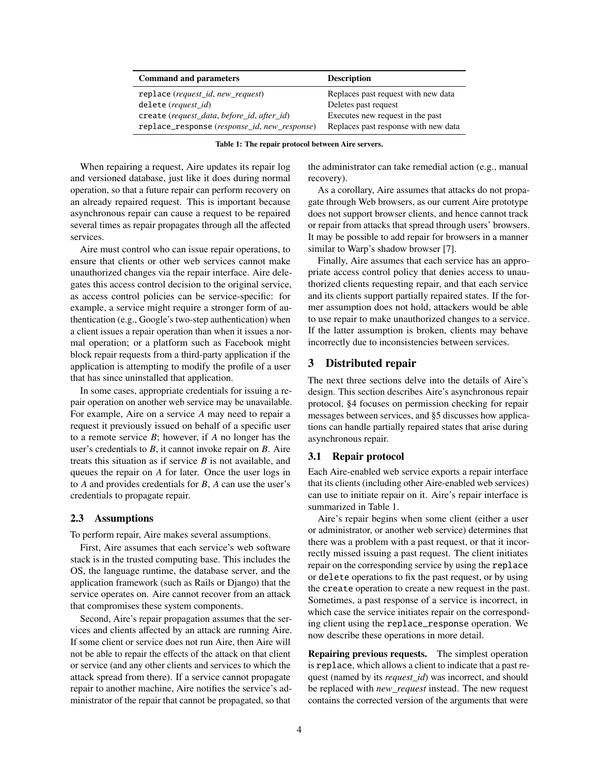| <b>Command and parameters</b>                | <b>Description</b>                   |
|----------------------------------------------|--------------------------------------|
| replace (request_id, new_request)            | Replaces past request with new data  |
| delete (request_id)                          | Deletes past request                 |
| create (request_data, before_id, after_id)   | Executes new request in the past     |
| replace_response (response_id, new_response) | Replaces past response with new data |

<span id="page-3-1"></span>

|  |  |  |  | Table 1: The repair protocol between Aire servers. |
|--|--|--|--|----------------------------------------------------|
|--|--|--|--|----------------------------------------------------|

When repairing a request, Aire updates its repair log and versioned database, just like it does during normal operation, so that a future repair can perform recovery on an already repaired request. This is important because asynchronous repair can cause a request to be repaired several times as repair propagates through all the affected services.

Aire must control who can issue repair operations, to ensure that clients or other web services cannot make unauthorized changes via the repair interface. Aire delegates this access control decision to the original service, as access control policies can be service-specific: for example, a service might require a stronger form of authentication (e.g., Google's two-step authentication) when a client issues a repair operation than when it issues a normal operation; or a platform such as Facebook might block repair requests from a third-party application if the application is attempting to modify the profile of a user that has since uninstalled that application.

In some cases, appropriate credentials for issuing a repair operation on another web service may be unavailable. For example, Aire on a service A may need to repair a request it previously issued on behalf of a specific user to a remote service  $B$ ; however, if  $A$  no longer has the user's credentials to  $B$ , it cannot invoke repair on  $B$ . Aire treats this situation as if service  $B$  is not available, and queues the repair on A for later. Once the user logs in to  $A$  and provides credentials for  $B$ ,  $A$  can use the user's credentials to propagate repair.

#### 2.3 Assumptions

To perform repair, Aire makes several assumptions.

First, Aire assumes that each service's web software stack is in the trusted computing base. This includes the OS, the language runtime, the database server, and the application framework (such as Rails or Django) that the service operates on. Aire cannot recover from an attack that compromises these system components.

Second, Aire's repair propagation assumes that the services and clients affected by an attack are running Aire. If some client or service does not run Aire, then Aire will not be able to repair the effects of the attack on that client or service (and any other clients and services to which the attack spread from there). If a service cannot propagate repair to another machine, Aire notifies the service's administrator of the repair that cannot be propagated, so that

the administrator can take remedial action (e.g., manual recovery).

As a corollary, Aire assumes that attacks do not propagate through Web browsers, as our current Aire prototype does not support browser clients, and hence cannot track or repair from attacks that spread through users' browsers. It may be possible to add repair for browsers in a manner similar to Warp's shadow browser [\[7\]](#page-14-9).

Finally, Aire assumes that each service has an appropriate access control policy that denies access to unauthorized clients requesting repair, and that each service and its clients support partially repaired states. If the former assumption does not hold, attackers would be able to use repair to make unauthorized changes to a service. If the latter assumption is broken, clients may behave incorrectly due to inconsistencies between services.

#### <span id="page-3-0"></span>3 Distributed repair

The next three sections delve into the details of Aire's design. This section describes Aire's asynchronous repair protocol, [§4](#page-5-0) focuses on permission checking for repair messages between services, and [§5](#page-6-0) discusses how applications can handle partially repaired states that arise during asynchronous repair.

#### <span id="page-3-2"></span>3.1 Repair protocol

Each Aire-enabled web service exports a repair interface that its clients (including other Aire-enabled web services) can use to initiate repair on it. Aire's repair interface is summarized in Table [1.](#page-3-1)

Aire's repair begins when some client (either a user or administrator, or another web service) determines that there was a problem with a past request, or that it incorrectly missed issuing a past request. The client initiates repair on the corresponding service by using the replace or delete operations to fix the past request, or by using the create operation to create a new request in the past. Sometimes, a past response of a service is incorrect, in which case the service initiates repair on the corresponding client using the replace\_response operation. We now describe these operations in more detail.

Repairing previous requests. The simplest operation is replace, which allows a client to indicate that a past request (named by its *request\_id*) was incorrect, and should be replaced with *new\_request* instead. The new request contains the corrected version of the arguments that were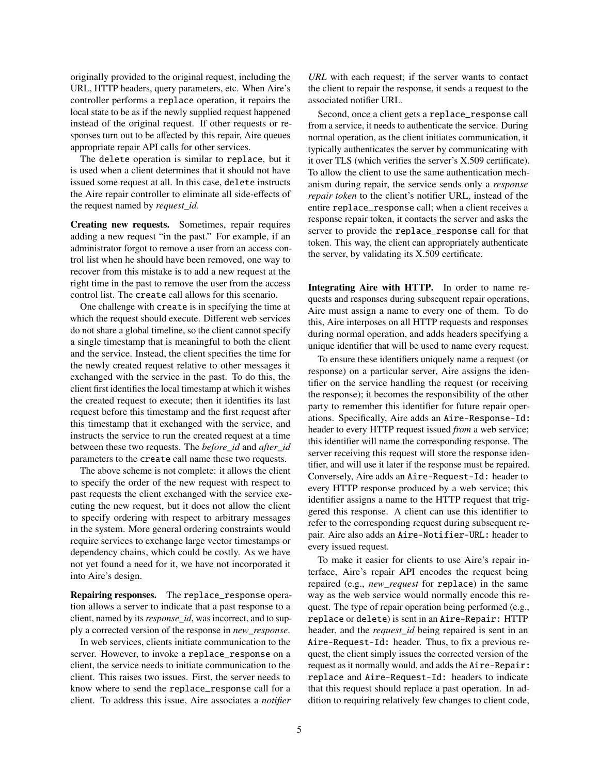originally provided to the original request, including the URL, HTTP headers, query parameters, etc. When Aire's controller performs a replace operation, it repairs the local state to be as if the newly supplied request happened instead of the original request. If other requests or responses turn out to be affected by this repair, Aire queues appropriate repair API calls for other services.

The delete operation is similar to replace, but it is used when a client determines that it should not have issued some request at all. In this case, delete instructs the Aire repair controller to eliminate all side-effects of the request named by *request\_id*.

Creating new requests. Sometimes, repair requires adding a new request "in the past." For example, if an administrator forgot to remove a user from an access control list when he should have been removed, one way to recover from this mistake is to add a new request at the right time in the past to remove the user from the access control list. The create call allows for this scenario.

One challenge with create is in specifying the time at which the request should execute. Different web services do not share a global timeline, so the client cannot specify a single timestamp that is meaningful to both the client and the service. Instead, the client specifies the time for the newly created request relative to other messages it exchanged with the service in the past. To do this, the client first identifies the local timestamp at which it wishes the created request to execute; then it identifies its last request before this timestamp and the first request after this timestamp that it exchanged with the service, and instructs the service to run the created request at a time between these two requests. The *before\_id* and *after\_id* parameters to the create call name these two requests.

The above scheme is not complete: it allows the client to specify the order of the new request with respect to past requests the client exchanged with the service executing the new request, but it does not allow the client to specify ordering with respect to arbitrary messages in the system. More general ordering constraints would require services to exchange large vector timestamps or dependency chains, which could be costly. As we have not yet found a need for it, we have not incorporated it into Aire's design.

Repairing responses. The replace\_response operation allows a server to indicate that a past response to a client, named by its *response\_id*, was incorrect, and to supply a corrected version of the response in *new\_response*.

In web services, clients initiate communication to the server. However, to invoke a replace\_response on a client, the service needs to initiate communication to the client. This raises two issues. First, the server needs to know where to send the replace\_response call for a client. To address this issue, Aire associates a *notifier*

*URL* with each request; if the server wants to contact the client to repair the response, it sends a request to the associated notifier URL.

Second, once a client gets a replace\_response call from a service, it needs to authenticate the service. During normal operation, as the client initiates communication, it typically authenticates the server by communicating with it over TLS (which verifies the server's X.509 certificate). To allow the client to use the same authentication mechanism during repair, the service sends only a *response repair token* to the client's notifier URL, instead of the entire replace\_response call; when a client receives a response repair token, it contacts the server and asks the server to provide the replace\_response call for that token. This way, the client can appropriately authenticate the server, by validating its X.509 certificate.

Integrating Aire with HTTP. In order to name requests and responses during subsequent repair operations, Aire must assign a name to every one of them. To do this, Aire interposes on all HTTP requests and responses during normal operation, and adds headers specifying a unique identifier that will be used to name every request.

To ensure these identifiers uniquely name a request (or response) on a particular server, Aire assigns the identifier on the service handling the request (or receiving the response); it becomes the responsibility of the other party to remember this identifier for future repair operations. Specifically, Aire adds an Aire-Response-Id: header to every HTTP request issued *from* a web service; this identifier will name the corresponding response. The server receiving this request will store the response identifier, and will use it later if the response must be repaired. Conversely, Aire adds an Aire-Request-Id: header to every HTTP response produced by a web service; this identifier assigns a name to the HTTP request that triggered this response. A client can use this identifier to refer to the corresponding request during subsequent repair. Aire also adds an Aire-Notifier-URL: header to every issued request.

To make it easier for clients to use Aire's repair interface, Aire's repair API encodes the request being repaired (e.g., *new\_request* for replace) in the same way as the web service would normally encode this request. The type of repair operation being performed (e.g., replace or delete) is sent in an Aire-Repair: HTTP header, and the *request\_id* being repaired is sent in an Aire-Request-Id: header. Thus, to fix a previous request, the client simply issues the corrected version of the request as it normally would, and adds the Aire-Repair: replace and Aire-Request-Id: headers to indicate that this request should replace a past operation. In addition to requiring relatively few changes to client code,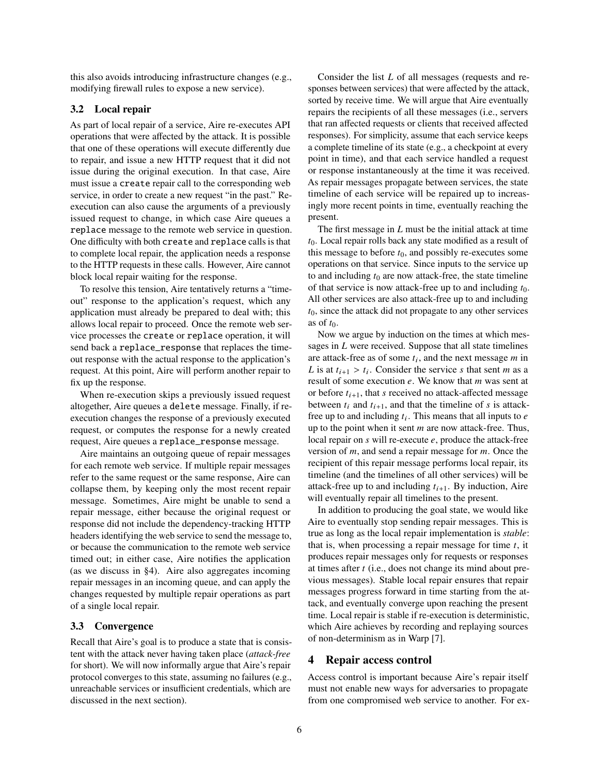this also avoids introducing infrastructure changes (e.g., modifying firewall rules to expose a new service).

#### 3.2 Local repair

As part of local repair of a service, Aire re-executes API operations that were affected by the attack. It is possible that one of these operations will execute differently due to repair, and issue a new HTTP request that it did not issue during the original execution. In that case, Aire must issue a create repair call to the corresponding web service, in order to create a new request "in the past." Reexecution can also cause the arguments of a previously issued request to change, in which case Aire queues a replace message to the remote web service in question. One difficulty with both create and replace calls is that to complete local repair, the application needs a response to the HTTP requests in these calls. However, Aire cannot block local repair waiting for the response.

To resolve this tension, Aire tentatively returns a "timeout" response to the application's request, which any application must already be prepared to deal with; this allows local repair to proceed. Once the remote web service processes the create or replace operation, it will send back a replace\_response that replaces the timeout response with the actual response to the application's request. At this point, Aire will perform another repair to fix up the response.

When re-execution skips a previously issued request altogether, Aire queues a delete message. Finally, if reexecution changes the response of a previously executed request, or computes the response for a newly created request, Aire queues a replace\_response message.

Aire maintains an outgoing queue of repair messages for each remote web service. If multiple repair messages refer to the same request or the same response, Aire can collapse them, by keeping only the most recent repair message. Sometimes, Aire might be unable to send a repair message, either because the original request or response did not include the dependency-tracking HTTP headers identifying the web service to send the message to, or because the communication to the remote web service timed out; in either case, Aire notifies the application (as we discuss in [§4\)](#page-5-0). Aire also aggregates incoming repair messages in an incoming queue, and can apply the changes requested by multiple repair operations as part of a single local repair.

#### 3.3 Convergence

Recall that Aire's goal is to produce a state that is consistent with the attack never having taken place (*attack-free* for short). We will now informally argue that Aire's repair protocol converges to this state, assuming no failures (e.g., unreachable services or insufficient credentials, which are discussed in the next section).

Consider the list L of all messages (requests and responses between services) that were affected by the attack, sorted by receive time. We will argue that Aire eventually repairs the recipients of all these messages (i.e., servers that ran affected requests or clients that received affected responses). For simplicity, assume that each service keeps a complete timeline of its state (e.g., a checkpoint at every point in time), and that each service handled a request or response instantaneously at the time it was received. As repair messages propagate between services, the state timeline of each service will be repaired up to increasingly more recent points in time, eventually reaching the present.

The first message in  $L$  must be the initial attack at time  $t<sub>0</sub>$ . Local repair rolls back any state modified as a result of this message to before  $t_0$ , and possibly re-executes some operations on that service. Since inputs to the service up to and including  $t_0$  are now attack-free, the state timeline of that service is now attack-free up to and including  $t_0$ . All other services are also attack-free up to and including  $t_0$ , since the attack did not propagate to any other services as of  $t_0$ .

Now we argue by induction on the times at which messages in  $L$  were received. Suppose that all state timelines are attack-free as of some  $t_i$ , and the next message  $m$  in L is at  $t_{i+1} > t_i$ . Consider the service s that sent m as a result of some execution e. We know that m was sent at result of some execution  $e$ . We know that  $m$  was sent at or before  $t_{i+1}$ , that s received no attack-affected message between  $t_i$  and  $t_{i+1}$ , and that the timeline of s is attackfree up to and including  $t_i$ . This means that all inputs to  $e$ up to the point when it sent  $m$  are now attack-free. Thus, local repair on  $s$  will re-execute  $e$ , produce the attack-free version of m, and send a repair message for m. Once the recipient of this repair message performs local repair, its timeline (and the timelines of all other services) will be attack-free up to and including  $t_{i+1}$ . By induction, Aire will eventually repair all timelines to the present.

In addition to producing the goal state, we would like Aire to eventually stop sending repair messages. This is true as long as the local repair implementation is *stable*: that is, when processing a repair message for time  $t$ , it produces repair messages only for requests or responses at times after t (i.e., does not change its mind about previous messages). Stable local repair ensures that repair messages progress forward in time starting from the attack, and eventually converge upon reaching the present time. Local repair is stable if re-execution is deterministic, which Aire achieves by recording and replaying sources of non-determinism as in Warp [\[7\]](#page-14-9).

## <span id="page-5-0"></span>4 Repair access control

Access control is important because Aire's repair itself must not enable new ways for adversaries to propagate from one compromised web service to another. For ex-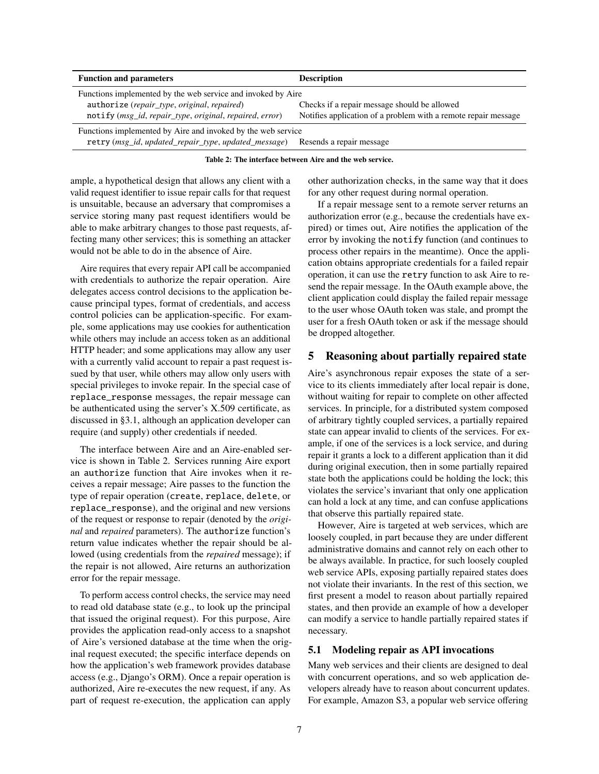| <b>Function and parameters</b>                                                                                                                                         | <b>Description</b>                                                                                             |
|------------------------------------------------------------------------------------------------------------------------------------------------------------------------|----------------------------------------------------------------------------------------------------------------|
| Functions implemented by the web service and invoked by Aire<br>authorize (repair_type, original, repaired)<br>notify (msg_id, repair_type, original, repaired, error) | Checks if a repair message should be allowed<br>Notifies application of a problem with a remote repair message |
| Functions implemented by Aire and invoked by the web service<br>retry (msg_id, updated_repair_type, updated_message) Resends a repair message                          |                                                                                                                |

<span id="page-6-1"></span>Table 2: The interface between Aire and the web service.

ample, a hypothetical design that allows any client with a valid request identifier to issue repair calls for that request is unsuitable, because an adversary that compromises a service storing many past request identifiers would be able to make arbitrary changes to those past requests, affecting many other services; this is something an attacker would not be able to do in the absence of Aire.

Aire requires that every repair API call be accompanied with credentials to authorize the repair operation. Aire delegates access control decisions to the application because principal types, format of credentials, and access control policies can be application-specific. For example, some applications may use cookies for authentication while others may include an access token as an additional HTTP header; and some applications may allow any user with a currently valid account to repair a past request issued by that user, while others may allow only users with special privileges to invoke repair. In the special case of replace\_response messages, the repair message can be authenticated using the server's X.509 certificate, as discussed in [§3.1,](#page-3-2) although an application developer can require (and supply) other credentials if needed.

The interface between Aire and an Aire-enabled service is shown in Table [2.](#page-6-1) Services running Aire export an authorize function that Aire invokes when it receives a repair message; Aire passes to the function the type of repair operation (create, replace, delete, or replace\_response), and the original and new versions of the request or response to repair (denoted by the *original* and *repaired* parameters). The authorize function's return value indicates whether the repair should be allowed (using credentials from the *repaired* message); if the repair is not allowed, Aire returns an authorization error for the repair message.

To perform access control checks, the service may need to read old database state (e.g., to look up the principal that issued the original request). For this purpose, Aire provides the application read-only access to a snapshot of Aire's versioned database at the time when the original request executed; the specific interface depends on how the application's web framework provides database access (e.g., Django's ORM). Once a repair operation is authorized, Aire re-executes the new request, if any. As part of request re-execution, the application can apply other authorization checks, in the same way that it does for any other request during normal operation.

If a repair message sent to a remote server returns an authorization error (e.g., because the credentials have expired) or times out, Aire notifies the application of the error by invoking the notify function (and continues to process other repairs in the meantime). Once the application obtains appropriate credentials for a failed repair operation, it can use the retry function to ask Aire to resend the repair message. In the OAuth example above, the client application could display the failed repair message to the user whose OAuth token was stale, and prompt the user for a fresh OAuth token or ask if the message should be dropped altogether.

# <span id="page-6-0"></span>5 Reasoning about partially repaired state

Aire's asynchronous repair exposes the state of a service to its clients immediately after local repair is done, without waiting for repair to complete on other affected services. In principle, for a distributed system composed of arbitrary tightly coupled services, a partially repaired state can appear invalid to clients of the services. For example, if one of the services is a lock service, and during repair it grants a lock to a different application than it did during original execution, then in some partially repaired state both the applications could be holding the lock; this violates the service's invariant that only one application can hold a lock at any time, and can confuse applications that observe this partially repaired state.

However, Aire is targeted at web services, which are loosely coupled, in part because they are under different administrative domains and cannot rely on each other to be always available. In practice, for such loosely coupled web service APIs, exposing partially repaired states does not violate their invariants. In the rest of this section, we first present a model to reason about partially repaired states, and then provide an example of how a developer can modify a service to handle partially repaired states if necessary.

# 5.1 Modeling repair as API invocations

Many web services and their clients are designed to deal with concurrent operations, and so web application developers already have to reason about concurrent updates. For example, Amazon S3, a popular web service offering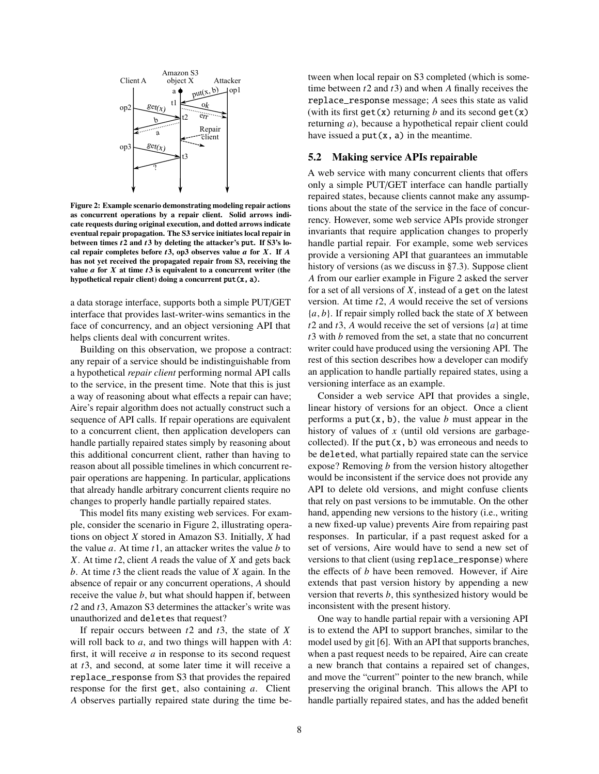

<span id="page-7-0"></span>Figure 2: Example scenario demonstrating modeling repair actions as concurrent operations by a repair client. Solid arrows indicate requests during original execution, and dotted arrows indicate eventual repair propagation. The S3 service initiates local repair in between times  $t2$  and  $t3$  by deleting the attacker's put. If S3's local repair completes before  $t3$ , op3 observes value  $a$  for  $X$ . If  $A$ has not yet received the propagated repair from S3, receiving the value  $a$  for  $X$  at time  $t3$  is equivalent to a concurrent writer (the hypothetical repair client) doing a concurrent put(x, a).

a data storage interface, supports both a simple PUT/GET interface that provides last-writer-wins semantics in the face of concurrency, and an object versioning API that helps clients deal with concurrent writes.

Building on this observation, we propose a contract: any repair of a service should be indistinguishable from a hypothetical *repair client* performing normal API calls to the service, in the present time. Note that this is just a way of reasoning about what effects a repair can have; Aire's repair algorithm does not actually construct such a sequence of API calls. If repair operations are equivalent to a concurrent client, then application developers can handle partially repaired states simply by reasoning about this additional concurrent client, rather than having to reason about all possible timelines in which concurrent repair operations are happening. In particular, applications that already handle arbitrary concurrent clients require no changes to properly handle partially repaired states.

This model fits many existing web services. For example, consider the scenario in Figure [2,](#page-7-0) illustrating operations on object X stored in Amazon S3. Initially, X had the value  $a$ . At time  $t1$ , an attacker writes the value  $b$  to  $X$ . At time  $t2$ , client A reads the value of  $X$  and gets back b. At time  $t3$  the client reads the value of X again. In the absence of repair or any concurrent operations, A should receive the value  $b$ , but what should happen if, between  $t2$  and  $t3$ , Amazon S3 determines the attacker's write was unauthorized and deletes that request?

If repair occurs between  $t2$  and  $t3$ , the state of X will roll back to  $a$ , and two things will happen with  $A$ : first, it will receive a in response to its second request at  $t3$ , and second, at some later time it will receive a replace\_response from S3 that provides the repaired response for the first get, also containing a. Client A observes partially repaired state during the time between when local repair on S3 completed (which is sometime between  $t2$  and  $t3$ ) and when A finally receives the replace\_response message; A sees this state as valid (with its first  $get(x)$  returning b and its second  $get(x)$ returning a), because a hypothetical repair client could have issued a  $put(x, a)$  in the meantime.

#### <span id="page-7-1"></span>5.2 Making service APIs repairable

A web service with many concurrent clients that offers only a simple PUT/GET interface can handle partially repaired states, because clients cannot make any assumptions about the state of the service in the face of concurrency. However, some web service APIs provide stronger invariants that require application changes to properly handle partial repair. For example, some web services provide a versioning API that guarantees an immutable history of versions (as we discuss in [§7.3\)](#page-11-0). Suppose client A from our earlier example in Figure [2](#page-7-0) asked the server for a set of all versions of  $X$ , instead of a get on the latest version. At time t2, A would receive the set of versions  ${a, b}$ . If repair simply rolled back the state of X between t2 and t3, A would receive the set of versions  $\{a\}$  at time  $t3$  with  $b$  removed from the set, a state that no concurrent writer could have produced using the versioning API. The rest of this section describes how a developer can modify an application to handle partially repaired states, using a versioning interface as an example.

Consider a web service API that provides a single, linear history of versions for an object. Once a client performs a put( $x$ , b), the value b must appear in the history of values of  $x$  (until old versions are garbagecollected). If the  $put(x, b)$  was erroneous and needs to be deleted, what partially repaired state can the service expose? Removing b from the version history altogether would be inconsistent if the service does not provide any API to delete old versions, and might confuse clients that rely on past versions to be immutable. On the other hand, appending new versions to the history (i.e., writing a new fixed-up value) prevents Aire from repairing past responses. In particular, if a past request asked for a set of versions, Aire would have to send a new set of versions to that client (using replace\_response) where the effects of b have been removed. However, if Aire extends that past version history by appending a new version that reverts  $b$ , this synthesized history would be inconsistent with the present history.

One way to handle partial repair with a versioning API is to extend the API to support branches, similar to the model used by git [\[6\]](#page-14-15). With an API that supports branches, when a past request needs to be repaired, Aire can create a new branch that contains a repaired set of changes, and move the "current" pointer to the new branch, while preserving the original branch. This allows the API to handle partially repaired states, and has the added benefit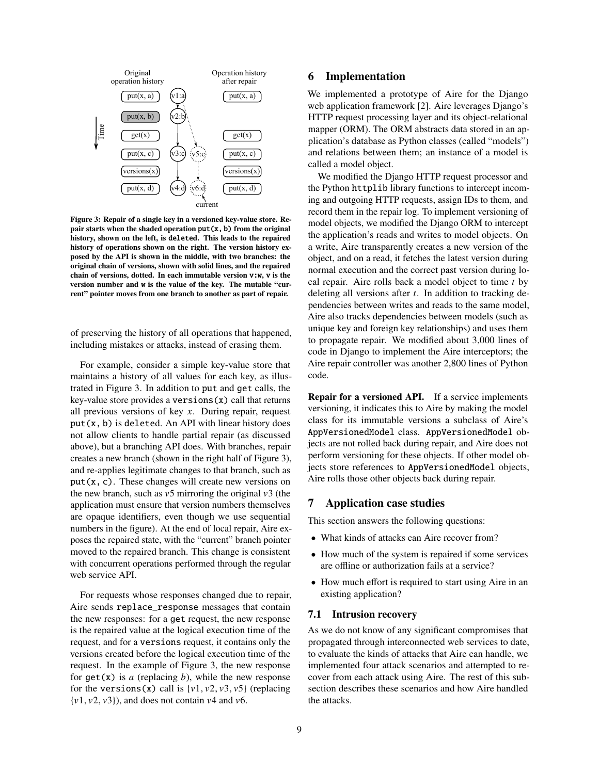

<span id="page-8-0"></span>Figure 3: Repair of a single key in a versioned key-value store. Repair starts when the shaded operation  $put(x, b)$  from the original history, shown on the left, is deleted. This leads to the repaired history of operations shown on the right. The version history exposed by the API is shown in the middle, with two branches: the original chain of versions, shown with solid lines, and the repaired chain of versions, dotted. In each immutable version v:w, v is the version number and w is the value of the key. The mutable "current" pointer moves from one branch to another as part of repair.

of preserving the history of all operations that happened, including mistakes or attacks, instead of erasing them.

For example, consider a simple key-value store that maintains a history of all values for each key, as illustrated in Figure [3.](#page-8-0) In addition to put and get calls, the key-value store provides a versions $(x)$  call that returns all previous versions of key  $x$ . During repair, request put(x, b) is deleted. An API with linear history does not allow clients to handle partial repair (as discussed above), but a branching API does. With branches, repair creates a new branch (shown in the right half of Figure [3\)](#page-8-0), and re-applies legitimate changes to that branch, such as  $put(x, c)$ . These changes will create new versions on the new branch, such as  $v5$  mirroring the original  $v3$  (the application must ensure that version numbers themselves are opaque identifiers, even though we use sequential numbers in the figure). At the end of local repair, Aire exposes the repaired state, with the "current" branch pointer moved to the repaired branch. This change is consistent with concurrent operations performed through the regular web service API.

For requests whose responses changed due to repair, Aire sends replace\_response messages that contain the new responses: for a get request, the new response is the repaired value at the logical execution time of the request, and for a versions request, it contains only the versions created before the logical execution time of the request. In the example of Figure [3,](#page-8-0) the new response for  $get(x)$  is a (replacing b), while the new response for the versions(x) call is  $\{v1, v2, v3, v5\}$  (replacing  $\{v1, v2, v3\}$ , and does not contain  $v4$  and  $v6$ .

## 6 Implementation

We implemented a prototype of Aire for the Django web application framework [\[2\]](#page-14-16). Aire leverages Django's HTTP request processing layer and its object-relational mapper (ORM). The ORM abstracts data stored in an application's database as Python classes (called "models") and relations between them; an instance of a model is called a model object.

We modified the Django HTTP request processor and the Python httplib library functions to intercept incoming and outgoing HTTP requests, assign IDs to them, and record them in the repair log. To implement versioning of model objects, we modified the Django ORM to intercept the application's reads and writes to model objects. On a write, Aire transparently creates a new version of the object, and on a read, it fetches the latest version during normal execution and the correct past version during local repair. Aire rolls back a model object to time  $t$  by deleting all versions after  $t$ . In addition to tracking dependencies between writes and reads to the same model, Aire also tracks dependencies between models (such as unique key and foreign key relationships) and uses them to propagate repair. We modified about 3,000 lines of code in Django to implement the Aire interceptors; the Aire repair controller was another 2,800 lines of Python code.

Repair for a versioned API. If a service implements versioning, it indicates this to Aire by making the model class for its immutable versions a subclass of Aire's AppVersionedModel class. AppVersionedModel objects are not rolled back during repair, and Aire does not perform versioning for these objects. If other model objects store references to AppVersionedModel objects, Aire rolls those other objects back during repair.

## 7 Application case studies

This section answers the following questions:

- What kinds of attacks can Aire recover from?
- How much of the system is repaired if some services are offline or authorization fails at a service?
- How much effort is required to start using Aire in an existing application?

#### <span id="page-8-1"></span>7.1 Intrusion recovery

As we do not know of any significant compromises that propagated through interconnected web services to date, to evaluate the kinds of attacks that Aire can handle, we implemented four attack scenarios and attempted to recover from each attack using Aire. The rest of this subsection describes these scenarios and how Aire handled the attacks.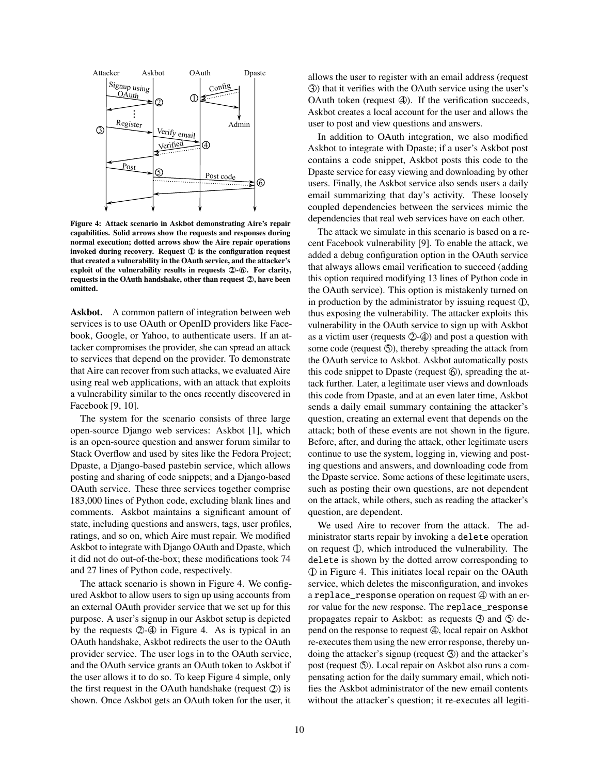

<span id="page-9-0"></span>Figure 4: Attack scenario in Askbot demonstrating Aire's repair capabilities. Solid arrows show the requests and responses during normal execution; dotted arrows show the Aire repair operations invoked during recovery. Request  $\Phi$  is the configuration request that created a vulnerability in the OAuth service, and the attacker's exploit of the vulnerability results in requests  $\mathcal{Q}\text{-}\mathcal{G}$ . For clarity, requests in the OAuth handshake, other than request  $\mathcal{Q}$ , have been omitted.

Askbot. A common pattern of integration between web services is to use OAuth or OpenID providers like Facebook, Google, or Yahoo, to authenticate users. If an attacker compromises the provider, she can spread an attack to services that depend on the provider. To demonstrate that Aire can recover from such attacks, we evaluated Aire using real web applications, with an attack that exploits a vulnerability similar to the ones recently discovered in Facebook [\[9,](#page-14-5) [10\]](#page-14-17).

The system for the scenario consists of three large open-source Django web services: Askbot [\[1\]](#page-14-12), which is an open-source question and answer forum similar to Stack Overflow and used by sites like the Fedora Project; Dpaste, a Django-based pastebin service, which allows posting and sharing of code snippets; and a Django-based OAuth service. These three services together comprise 183,000 lines of Python code, excluding blank lines and comments. Askbot maintains a significant amount of state, including questions and answers, tags, user profiles, ratings, and so on, which Aire must repair. We modified Askbot to integrate with Django OAuth and Dpaste, which it did not do out-of-the-box; these modifications took 74 and 27 lines of Python code, respectively.

The attack scenario is shown in Figure [4.](#page-9-0) We configured Askbot to allow users to sign up using accounts from an external OAuth provider service that we set up for this purpose. A user's signup in our Askbot setup is depicted by the requests  $\mathcal{Q}$ - $\mathcal{Q}$  in Figure [4.](#page-9-0) As is typical in an OAuth handshake, Askbot redirects the user to the OAuth provider service. The user logs in to the OAuth service, and the OAuth service grants an OAuth token to Askbot if the user allows it to do so. To keep Figure [4](#page-9-0) simple, only the first request in the OAuth handshake (request  $\mathcal{Q}$ ) is shown. Once Askbot gets an OAuth token for the user, it

allows the user to register with an email address (request 3 ) that it verifies with the OAuth service using the user's OAuth token (request  $\circled{4}$ ). If the verification succeeds, Askbot creates a local account for the user and allows the user to post and view questions and answers.

In addition to OAuth integration, we also modified Askbot to integrate with Dpaste; if a user's Askbot post contains a code snippet, Askbot posts this code to the Dpaste service for easy viewing and downloading by other users. Finally, the Askbot service also sends users a daily email summarizing that day's activity. These loosely coupled dependencies between the services mimic the dependencies that real web services have on each other.

The attack we simulate in this scenario is based on a recent Facebook vulnerability [\[9\]](#page-14-5). To enable the attack, we added a debug configuration option in the OAuth service that always allows email verification to succeed (adding this option required modifying 13 lines of Python code in the OAuth service). This option is mistakenly turned on in production by the administrator by issuing request  $\mathbb{O}$ , thus exposing the vulnerability. The attacker exploits this vulnerability in the OAuth service to sign up with Askbot as a victim user (requests  $\mathcal{Q}$ - $\mathcal{Q}$ ) and post a question with some code (request  $\circled{5}$ ), thereby spreading the attack from the OAuth service to Askbot. Askbot automatically posts this code snippet to Dpaste (request  $\circled{6}$ ), spreading the attack further. Later, a legitimate user views and downloads this code from Dpaste, and at an even later time, Askbot sends a daily email summary containing the attacker's question, creating an external event that depends on the attack; both of these events are not shown in the figure. Before, after, and during the attack, other legitimate users continue to use the system, logging in, viewing and posting questions and answers, and downloading code from the Dpaste service. Some actions of these legitimate users, such as posting their own questions, are not dependent on the attack, while others, such as reading the attacker's question, are dependent.

We used Aire to recover from the attack. The administrator starts repair by invoking a delete operation on request  $\mathbb{O}$ , which introduced the vulnerability. The delete is shown by the dotted arrow corresponding to 1 in Figure [4.](#page-9-0) This initiates local repair on the OAuth service, which deletes the misconfiguration, and invokes a replace\_response operation on request  $\Phi$  with an error value for the new response. The replace\_response propagates repair to Askbot: as requests  $\circled{3}$  and  $\circled{5}$  depend on the response to request  $\Phi$ , local repair on Askbot re-executes them using the new error response, thereby undoing the attacker's signup (request 3 ) and the attacker's post (request  $\circled{5}$ ). Local repair on Askbot also runs a compensating action for the daily summary email, which notifies the Askbot administrator of the new email contents without the attacker's question; it re-executes all legiti-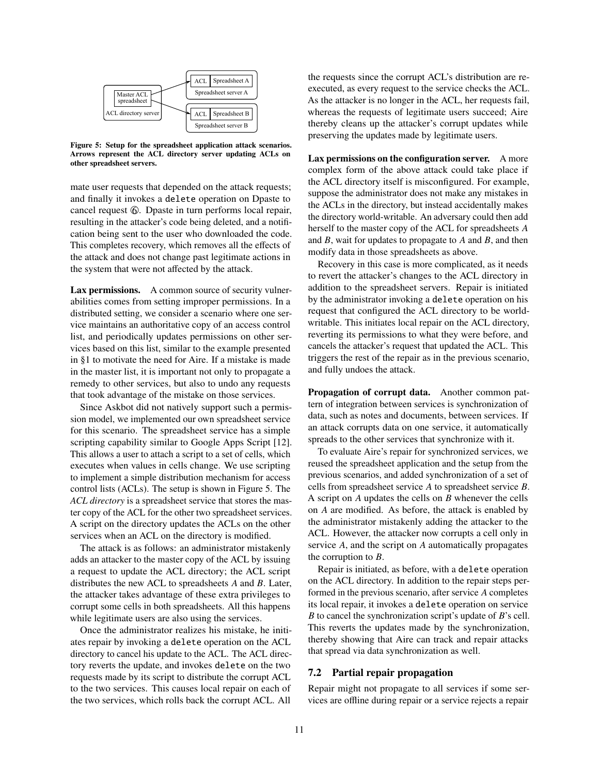

<span id="page-10-0"></span>Figure 5: Setup for the spreadsheet application attack scenarios. Arrows represent the ACL directory server updating ACLs on other spreadsheet servers.

mate user requests that depended on the attack requests; and finally it invokes a delete operation on Dpaste to cancel request  $\circled{6}$ . Dpaste in turn performs local repair, resulting in the attacker's code being deleted, and a notification being sent to the user who downloaded the code. This completes recovery, which removes all the effects of the attack and does not change past legitimate actions in the system that were not affected by the attack.

Lax permissions. A common source of security vulnerabilities comes from setting improper permissions. In a distributed setting, we consider a scenario where one service maintains an authoritative copy of an access control list, and periodically updates permissions on other services based on this list, similar to the example presented in [§1](#page-0-0) to motivate the need for Aire. If a mistake is made in the master list, it is important not only to propagate a remedy to other services, but also to undo any requests that took advantage of the mistake on those services.

Since Askbot did not natively support such a permission model, we implemented our own spreadsheet service for this scenario. The spreadsheet service has a simple scripting capability similar to Google Apps Script [\[12\]](#page-14-1). This allows a user to attach a script to a set of cells, which executes when values in cells change. We use scripting to implement a simple distribution mechanism for access control lists (ACLs). The setup is shown in Figure [5.](#page-10-0) The *ACL directory* is a spreadsheet service that stores the master copy of the ACL for the other two spreadsheet services. A script on the directory updates the ACLs on the other services when an ACL on the directory is modified.

The attack is as follows: an administrator mistakenly adds an attacker to the master copy of the ACL by issuing a request to update the ACL directory; the ACL script distributes the new ACL to spreadsheets A and B. Later, the attacker takes advantage of these extra privileges to corrupt some cells in both spreadsheets. All this happens while legitimate users are also using the services.

Once the administrator realizes his mistake, he initiates repair by invoking a delete operation on the ACL directory to cancel his update to the ACL. The ACL directory reverts the update, and invokes delete on the two requests made by its script to distribute the corrupt ACL to the two services. This causes local repair on each of the two services, which rolls back the corrupt ACL. All

the requests since the corrupt ACL's distribution are reexecuted, as every request to the service checks the ACL. As the attacker is no longer in the ACL, her requests fail, whereas the requests of legitimate users succeed; Aire thereby cleans up the attacker's corrupt updates while preserving the updates made by legitimate users.

Lax permissions on the configuration server. A more complex form of the above attack could take place if the ACL directory itself is misconfigured. For example, suppose the administrator does not make any mistakes in the ACLs in the directory, but instead accidentally makes the directory world-writable. An adversary could then add herself to the master copy of the ACL for spreadsheets A and  $B$ , wait for updates to propagate to  $A$  and  $B$ , and then modify data in those spreadsheets as above.

Recovery in this case is more complicated, as it needs to revert the attacker's changes to the ACL directory in addition to the spreadsheet servers. Repair is initiated by the administrator invoking a delete operation on his request that configured the ACL directory to be worldwritable. This initiates local repair on the ACL directory, reverting its permissions to what they were before, and cancels the attacker's request that updated the ACL. This triggers the rest of the repair as in the previous scenario, and fully undoes the attack.

Propagation of corrupt data. Another common pattern of integration between services is synchronization of data, such as notes and documents, between services. If an attack corrupts data on one service, it automatically spreads to the other services that synchronize with it.

To evaluate Aire's repair for synchronized services, we reused the spreadsheet application and the setup from the previous scenarios, and added synchronization of a set of cells from spreadsheet service A to spreadsheet service B. A script on  $A$  updates the cells on  $B$  whenever the cells on A are modified. As before, the attack is enabled by the administrator mistakenly adding the attacker to the ACL. However, the attacker now corrupts a cell only in service A, and the script on A automatically propagates the corruption to B.

Repair is initiated, as before, with a delete operation on the ACL directory. In addition to the repair steps performed in the previous scenario, after service A completes its local repair, it invokes a delete operation on service B to cancel the synchronization script's update of B's cell. This reverts the updates made by the synchronization, thereby showing that Aire can track and repair attacks that spread via data synchronization as well.

#### <span id="page-10-1"></span>7.2 Partial repair propagation

Repair might not propagate to all services if some services are offline during repair or a service rejects a repair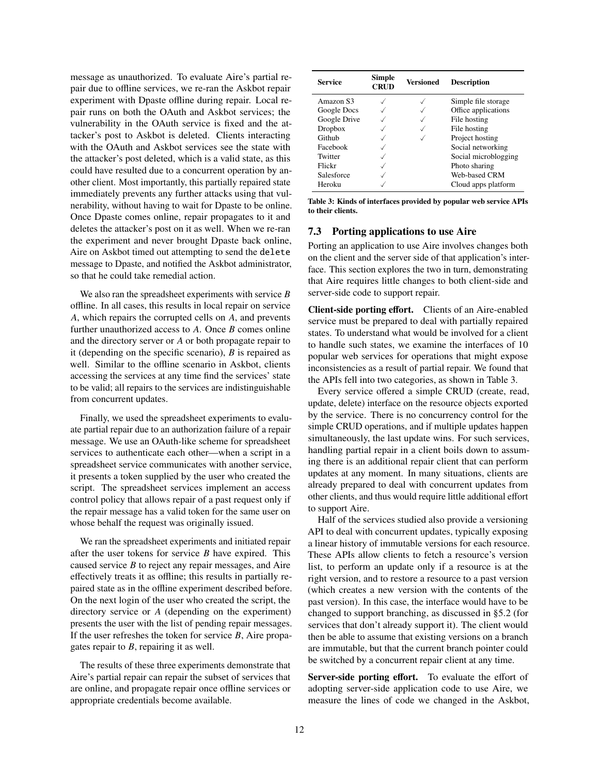message as unauthorized. To evaluate Aire's partial repair due to offline services, we re-ran the Askbot repair experiment with Dpaste offline during repair. Local repair runs on both the OAuth and Askbot services; the vulnerability in the OAuth service is fixed and the attacker's post to Askbot is deleted. Clients interacting with the OAuth and Askbot services see the state with the attacker's post deleted, which is a valid state, as this could have resulted due to a concurrent operation by another client. Most importantly, this partially repaired state immediately prevents any further attacks using that vulnerability, without having to wait for Dpaste to be online. Once Dpaste comes online, repair propagates to it and deletes the attacker's post on it as well. When we re-ran the experiment and never brought Dpaste back online, Aire on Askbot timed out attempting to send the delete message to Dpaste, and notified the Askbot administrator, so that he could take remedial action.

We also ran the spreadsheet experiments with service  $B$ offline. In all cases, this results in local repair on service A, which repairs the corrupted cells on A, and prevents further unauthorized access to  $A$ . Once  $B$  comes online and the directory server or A or both propagate repair to it (depending on the specific scenario),  $B$  is repaired as well. Similar to the offline scenario in Askbot, clients accessing the services at any time find the services' state to be valid; all repairs to the services are indistinguishable from concurrent updates.

Finally, we used the spreadsheet experiments to evaluate partial repair due to an authorization failure of a repair message. We use an OAuth-like scheme for spreadsheet services to authenticate each other—when a script in a spreadsheet service communicates with another service, it presents a token supplied by the user who created the script. The spreadsheet services implement an access control policy that allows repair of a past request only if the repair message has a valid token for the same user on whose behalf the request was originally issued.

We ran the spreadsheet experiments and initiated repair after the user tokens for service  $B$  have expired. This caused service  $B$  to reject any repair messages, and Aire effectively treats it as offline; this results in partially repaired state as in the offline experiment described before. On the next login of the user who created the script, the directory service or A (depending on the experiment) presents the user with the list of pending repair messages. If the user refreshes the token for service  $B$ , Aire propagates repair to B, repairing it as well.

The results of these three experiments demonstrate that Aire's partial repair can repair the subset of services that are online, and propagate repair once offline services or appropriate credentials become available.

| <b>Service</b> | Simple<br><b>CRUD</b> | Versioned | <b>Description</b>   |
|----------------|-----------------------|-----------|----------------------|
| Amazon S3      |                       |           | Simple file storage  |
| Google Docs    |                       |           | Office applications  |
| Google Drive   |                       |           | File hosting         |
| Dropbox        |                       |           | File hosting         |
| Github         |                       |           | Project hosting      |
| Facebook       |                       |           | Social networking    |
| Twitter        |                       |           | Social microblogging |
| Flickr         |                       |           | Photo sharing        |
| Salesforce     |                       |           | Web-based CRM        |
| Heroku         |                       |           | Cloud apps platform  |

<span id="page-11-1"></span>Table 3: Kinds of interfaces provided by popular web service APIs to their clients.

# <span id="page-11-0"></span>7.3 Porting applications to use Aire

Porting an application to use Aire involves changes both on the client and the server side of that application's interface. This section explores the two in turn, demonstrating that Aire requires little changes to both client-side and server-side code to support repair.

Client-side porting effort. Clients of an Aire-enabled service must be prepared to deal with partially repaired states. To understand what would be involved for a client to handle such states, we examine the interfaces of 10 popular web services for operations that might expose inconsistencies as a result of partial repair. We found that the APIs fell into two categories, as shown in Table [3.](#page-11-1)

Every service offered a simple CRUD (create, read, update, delete) interface on the resource objects exported by the service. There is no concurrency control for the simple CRUD operations, and if multiple updates happen simultaneously, the last update wins. For such services, handling partial repair in a client boils down to assuming there is an additional repair client that can perform updates at any moment. In many situations, clients are already prepared to deal with concurrent updates from other clients, and thus would require little additional effort to support Aire.

Half of the services studied also provide a versioning API to deal with concurrent updates, typically exposing a linear history of immutable versions for each resource. These APIs allow clients to fetch a resource's version list, to perform an update only if a resource is at the right version, and to restore a resource to a past version (which creates a new version with the contents of the past version). In this case, the interface would have to be changed to support branching, as discussed in [§5.2](#page-7-1) (for services that don't already support it). The client would then be able to assume that existing versions on a branch are immutable, but that the current branch pointer could be switched by a concurrent repair client at any time.

Server-side porting effort. To evaluate the effort of adopting server-side application code to use Aire, we measure the lines of code we changed in the Askbot,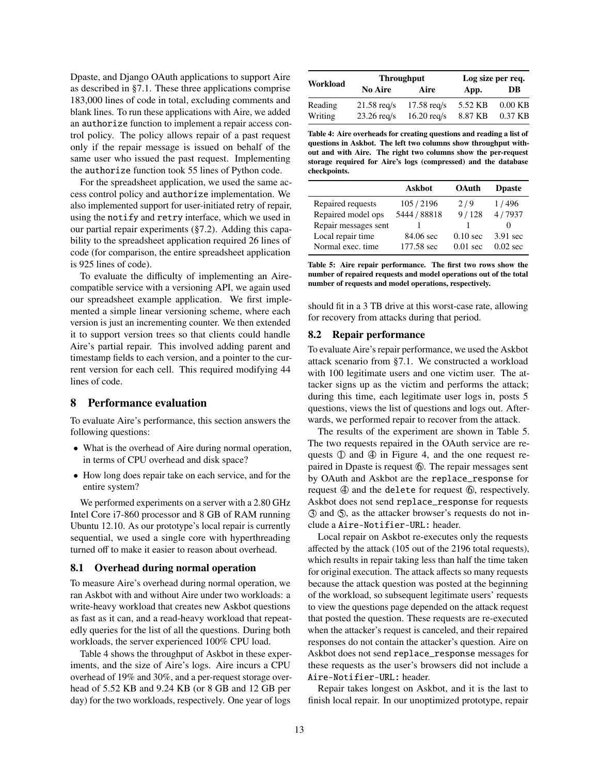Dpaste, and Django OAuth applications to support Aire as described in [§7.1.](#page-8-1) These three applications comprise 183,000 lines of code in total, excluding comments and blank lines. To run these applications with Aire, we added an authorize function to implement a repair access control policy. The policy allows repair of a past request only if the repair message is issued on behalf of the same user who issued the past request. Implementing the authorize function took 55 lines of Python code.

For the spreadsheet application, we used the same access control policy and authorize implementation. We also implemented support for user-initiated retry of repair, using the notify and retry interface, which we used in our partial repair experiments ([§7.2\)](#page-10-1). Adding this capability to the spreadsheet application required 26 lines of code (for comparison, the entire spreadsheet application is 925 lines of code).

To evaluate the difficulty of implementing an Airecompatible service with a versioning API, we again used our spreadsheet example application. We first implemented a simple linear versioning scheme, where each version is just an incrementing counter. We then extended it to support version trees so that clients could handle Aire's partial repair. This involved adding parent and timestamp fields to each version, and a pointer to the current version for each cell. This required modifying 44 lines of code.

# 8 Performance evaluation

To evaluate Aire's performance, this section answers the following questions:

- What is the overhead of Aire during normal operation, in terms of CPU overhead and disk space?
- How long does repair take on each service, and for the entire system?

We performed experiments on a server with a 2.80 GHz Intel Core i7-860 processor and 8 GB of RAM running Ubuntu 12.10. As our prototype's local repair is currently sequential, we used a single core with hyperthreading turned off to make it easier to reason about overhead.

#### 8.1 Overhead during normal operation

To measure Aire's overhead during normal operation, we ran Askbot with and without Aire under two workloads: a write-heavy workload that creates new Askbot questions as fast as it can, and a read-heavy workload that repeatedly queries for the list of all the questions. During both workloads, the server experienced 100% CPU load.

Table [4](#page-12-0) shows the throughput of Askbot in these experiments, and the size of Aire's logs. Aire incurs a CPU overhead of 19% and 30%, and a per-request storage overhead of 5.52 KB and 9.24 KB (or 8 GB and 12 GB per day) for the two workloads, respectively. One year of logs

| Workload           | <b>Throughput</b>              |                                        | Log size per req.  |                        |
|--------------------|--------------------------------|----------------------------------------|--------------------|------------------------|
|                    | <b>No Aire</b>                 | Aire                                   | App.               | ÐВ                     |
| Reading<br>Writing | $21.58$ req/s<br>$23.26$ reg/s | $17.58$ reg/s<br>$16.20 \text{ req/s}$ | 5.52 KB<br>8.87 KB | $0.00$ KB<br>$0.37$ KB |

<span id="page-12-0"></span>Table 4: Aire overheads for creating questions and reading a list of questions in Askbot. The left two columns show throughput without and with Aire. The right two columns show the per-request storage required for Aire's logs (compressed) and the database checkpoints.

|                      | <b>Askbot</b> | OAuth              | <b>D</b> paste     |
|----------------------|---------------|--------------------|--------------------|
| Repaired requests    | 105/2196      | 2/9                | 1/496              |
| Repaired model ops   | 5444 / 88818  | 9/128              | 4/7937             |
| Repair messages sent |               |                    |                    |
| Local repair time    | 84.06 sec     | $0.10 \text{ sec}$ | $3.91 \text{ sec}$ |
| Normal exec. time    | 177.58 sec    | $0.01$ sec         | $0.02 \text{ sec}$ |

<span id="page-12-1"></span>Table 5: Aire repair performance. The first two rows show the number of repaired requests and model operations out of the total number of requests and model operations, respectively.

should fit in a 3 TB drive at this worst-case rate, allowing for recovery from attacks during that period.

#### 8.2 Repair performance

To evaluate Aire's repair performance, we used the Askbot attack scenario from [§7.1.](#page-8-1) We constructed a workload with 100 legitimate users and one victim user. The attacker signs up as the victim and performs the attack; during this time, each legitimate user logs in, posts 5 questions, views the list of questions and logs out. Afterwards, we performed repair to recover from the attack.

The results of the experiment are shown in Table [5.](#page-12-1) The two requests repaired in the OAuth service are requests  $\Phi$  and  $\Phi$  in Figure [4,](#page-9-0) and the one request repaired in Dpaste is request **6**. The repair messages sent by OAuth and Askbot are the replace\_response for request  $\Phi$  and the delete for request  $\Phi$ , respectively. Askbot does not send replace\_response for requests 3 and 5 , as the attacker browser's requests do not include a Aire-Notifier-URL: header.

Local repair on Askbot re-executes only the requests affected by the attack (105 out of the 2196 total requests), which results in repair taking less than half the time taken for original execution. The attack affects so many requests because the attack question was posted at the beginning of the workload, so subsequent legitimate users' requests to view the questions page depended on the attack request that posted the question. These requests are re-executed when the attacker's request is canceled, and their repaired responses do not contain the attacker's question. Aire on Askbot does not send replace\_response messages for these requests as the user's browsers did not include a Aire-Notifier-URL: header.

Repair takes longest on Askbot, and it is the last to finish local repair. In our unoptimized prototype, repair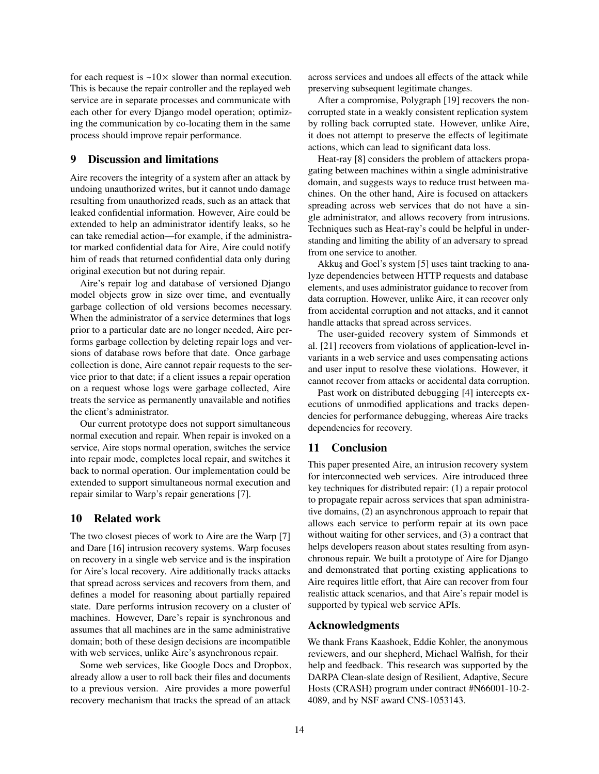for each request is  $\sim 10 \times$  slower than normal execution. This is because the repair controller and the replayed web service are in separate processes and communicate with each other for every Django model operation; optimizing the communication by co-locating them in the same process should improve repair performance.

## 9 Discussion and limitations

Aire recovers the integrity of a system after an attack by undoing unauthorized writes, but it cannot undo damage resulting from unauthorized reads, such as an attack that leaked confidential information. However, Aire could be extended to help an administrator identify leaks, so he can take remedial action—for example, if the administrator marked confidential data for Aire, Aire could notify him of reads that returned confidential data only during original execution but not during repair.

Aire's repair log and database of versioned Django model objects grow in size over time, and eventually garbage collection of old versions becomes necessary. When the administrator of a service determines that logs prior to a particular date are no longer needed, Aire performs garbage collection by deleting repair logs and versions of database rows before that date. Once garbage collection is done, Aire cannot repair requests to the service prior to that date; if a client issues a repair operation on a request whose logs were garbage collected, Aire treats the service as permanently unavailable and notifies the client's administrator.

Our current prototype does not support simultaneous normal execution and repair. When repair is invoked on a service, Aire stops normal operation, switches the service into repair mode, completes local repair, and switches it back to normal operation. Our implementation could be extended to support simultaneous normal execution and repair similar to Warp's repair generations [\[7\]](#page-14-9).

# 10 Related work

The two closest pieces of work to Aire are the Warp [\[7\]](#page-14-9) and Dare [\[16\]](#page-14-11) intrusion recovery systems. Warp focuses on recovery in a single web service and is the inspiration for Aire's local recovery. Aire additionally tracks attacks that spread across services and recovers from them, and defines a model for reasoning about partially repaired state. Dare performs intrusion recovery on a cluster of machines. However, Dare's repair is synchronous and assumes that all machines are in the same administrative domain; both of these design decisions are incompatible with web services, unlike Aire's asynchronous repair.

Some web services, like Google Docs and Dropbox, already allow a user to roll back their files and documents to a previous version. Aire provides a more powerful recovery mechanism that tracks the spread of an attack

across services and undoes all effects of the attack while preserving subsequent legitimate changes.

After a compromise, Polygraph [\[19\]](#page-14-18) recovers the noncorrupted state in a weakly consistent replication system by rolling back corrupted state. However, unlike Aire, it does not attempt to preserve the effects of legitimate actions, which can lead to significant data loss.

Heat-ray [\[8\]](#page-14-19) considers the problem of attackers propagating between machines within a single administrative domain, and suggests ways to reduce trust between machines. On the other hand, Aire is focused on attackers spreading across web services that do not have a single administrator, and allows recovery from intrusions. Techniques such as Heat-ray's could be helpful in understanding and limiting the ability of an adversary to spread from one service to another.

Akkuş and Goel's system [\[5\]](#page-14-20) uses taint tracking to analyze dependencies between HTTP requests and database elements, and uses administrator guidance to recover from data corruption. However, unlike Aire, it can recover only from accidental corruption and not attacks, and it cannot handle attacks that spread across services.

The user-guided recovery system of Simmonds et al. [\[21\]](#page-14-21) recovers from violations of application-level invariants in a web service and uses compensating actions and user input to resolve these violations. However, it cannot recover from attacks or accidental data corruption.

Past work on distributed debugging [\[4\]](#page-14-22) intercepts executions of unmodified applications and tracks dependencies for performance debugging, whereas Aire tracks dependencies for recovery.

# 11 Conclusion

This paper presented Aire, an intrusion recovery system for interconnected web services. Aire introduced three key techniques for distributed repair: (1) a repair protocol to propagate repair across services that span administrative domains, (2) an asynchronous approach to repair that allows each service to perform repair at its own pace without waiting for other services, and (3) a contract that helps developers reason about states resulting from asynchronous repair. We built a prototype of Aire for Django and demonstrated that porting existing applications to Aire requires little effort, that Aire can recover from four realistic attack scenarios, and that Aire's repair model is supported by typical web service APIs.

## Acknowledgments

We thank Frans Kaashoek, Eddie Kohler, the anonymous reviewers, and our shepherd, Michael Walfish, for their help and feedback. This research was supported by the DARPA Clean-slate design of Resilient, Adaptive, Secure Hosts (CRASH) program under contract #N66001-10-2- 4089, and by NSF award CNS-1053143.